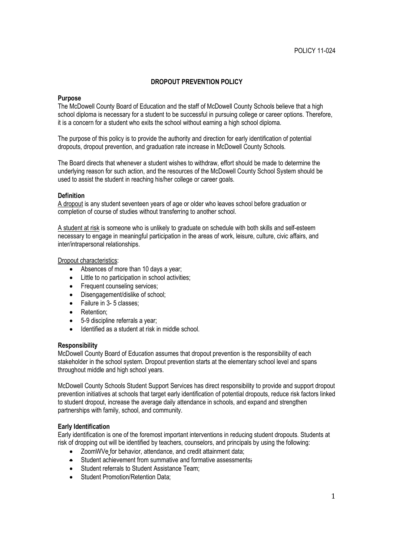# **DROPOUT PREVENTION POLICY**

## **Purpose**

The McDowell County Board of Education and the staff of McDowell County Schools believe that a high school diploma is necessary for a student to be successful in pursuing college or career options. Therefore, it is a concern for a student who exits the school without earning a high school diploma.

The purpose of this policy is to provide the authority and direction for early identification of potential dropouts, dropout prevention, and graduation rate increase in McDowell County Schools.

The Board directs that whenever a student wishes to withdraw, effort should be made to determine the underlying reason for such action, and the resources of the McDowell County School System should be used to assist the student in reaching his/her college or career goals.

## **Definition**

A dropout is any student seventeen years of age or older who leaves school before graduation or completion of course of studies without transferring to another school.

A student at risk is someone who is unlikely to graduate on schedule with both skills and self-esteem necessary to engage in meaningful participation in the areas of work, leisure, culture, civic affairs, and inter/intrapersonal relationships.

#### Dropout characteristics:

- Absences of more than 10 days a year;
- Little to no participation in school activities;
- Frequent counseling services;
- Disengagement/dislike of school;
- Failure in 3-5 classes;
- Retention:
- 5-9 discipline referrals a year;
- Identified as a student at risk in middle school.

#### **Responsibility**

McDowell County Board of Education assumes that dropout prevention is the responsibility of each stakeholder in the school system. Dropout prevention starts at the elementary school level and spans throughout middle and high school years.

McDowell County Schools Student Support Services has direct responsibility to provide and support dropout prevention initiatives at schools that target early identification of potential dropouts, reduce risk factors linked to student dropout, increase the average daily attendance in schools, and expand and strengthen partnerships with family, school, and community.

#### **Early Identification**

Early identification is one of the foremost important interventions in reducing student dropouts. Students at risk of dropping out will be identified by teachers, counselors, and principals by using the following:

- ZoomWVe for behavior, attendance, and credit attainment data;
- **Student achievement from summative and formative assessments;**
- Student referrals to Student Assistance Team:
- Student Promotion/Retention Data: